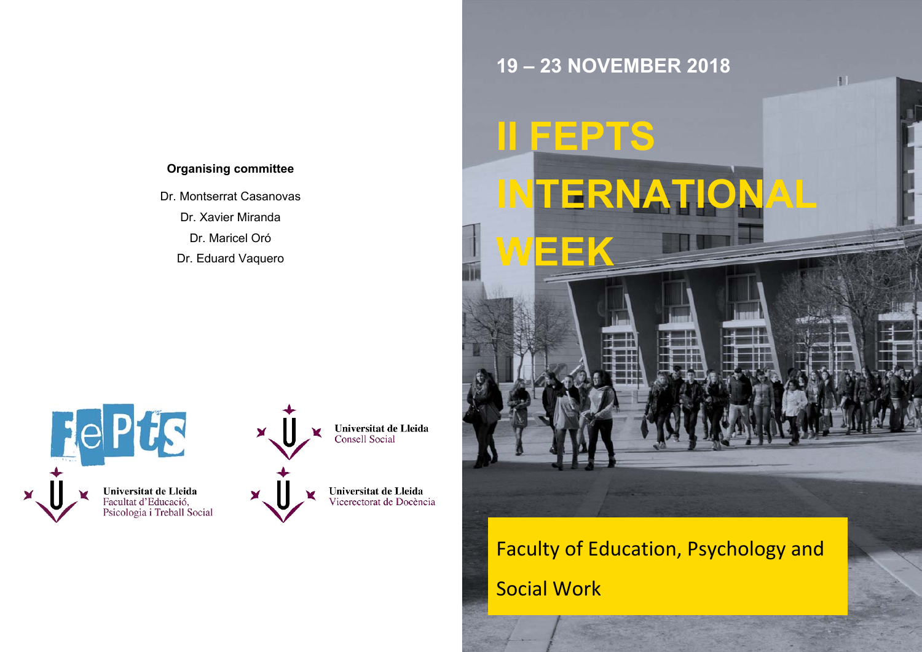## **Organising committee**

Dr. Montserrat Casanovas

Dr. Xavier Miranda

Dr. Maricel Oró

Dr. Eduard Vaquero

 $\blacktriangleright$ 



Faculty of Education, Psychology and Social Work



Universitat de Lleida<br>Consell Social

**Universitat de Lleida**<br>Vicerectorat de Docència